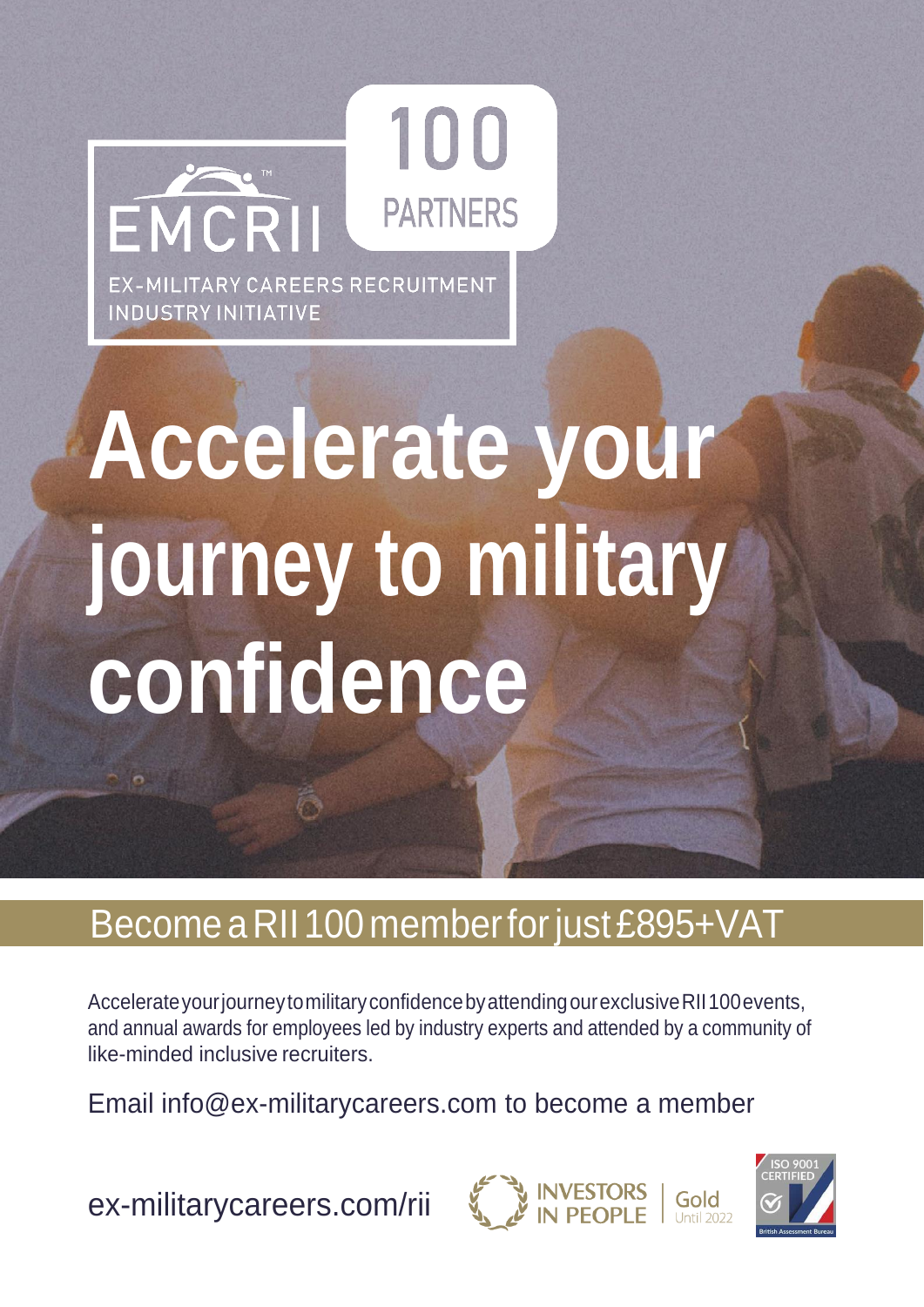

# **Accelerate your journey to military confidence**

### Become a RII 100 member for just £895+VAT

Accelerate your journey to military confidence by attending our exclusive RII 100 events, and annual awards for employees led by industry experts and attended by a community of like-minded inclusive recruiters.

Email [info@ex-militarycareers.com t](mailto:info@ex-militarycareers.com)o become a member

[ex-militarycareers.com/rii](http://ex-militarycareers.com/rii)



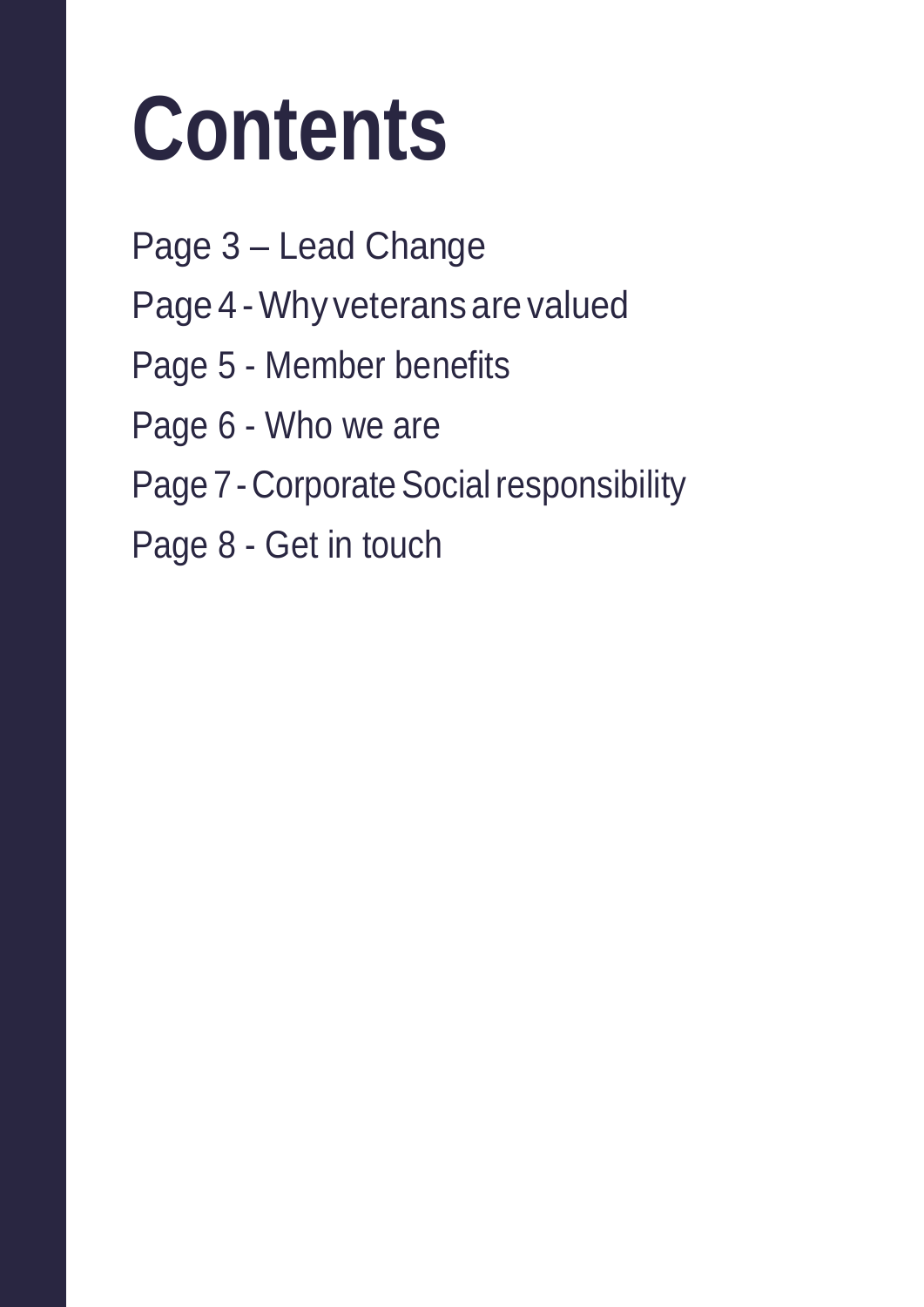# **Contents**

Page 3 – Lead Change Page 4 -Why veterans are valued Page 5 - Member benefits Page 6 - Who we are Page 7 - Corporate Social responsibility Page 8 - Get in touch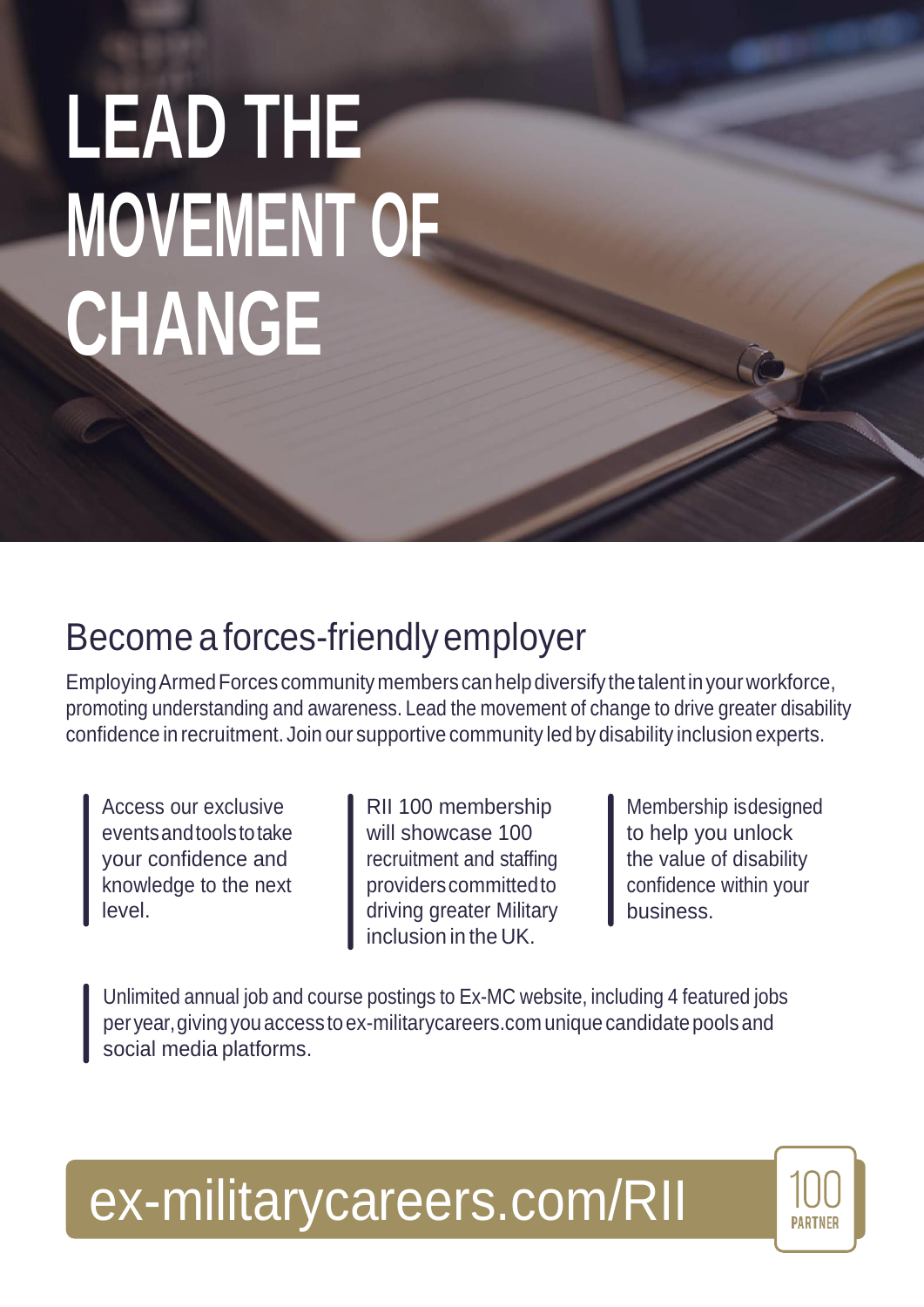# **LEAD THE MOVEMENT OF CHANGE**

### Become a forces-friendly employer

EmployingArmedForces communitymembers canhelpdiversify thetalentinyourworkforce, promoting understanding and awareness. Lead the movement of change to drive greater disability confidence in recruitment. Join our supportive community led by disability inclusion experts.

Access our exclusive eventsandtoolstotake your confidence and knowledge to the next level.

RII 100 membership will showcase 100 recruitment and staffing providerscommittedto driving greater Military inclusion in the UK.

Membership isdesigned to help you unlock the value of disability confidence within your business.

Unlimited annual job and course postings to Ex-MC website, including 4 featured jobs peryear,givingyouaccesstoex-militarycareers.com uniquecandidatepoolsand social media platforms.

## [ex-militarycareers.com/RII](http://ex-militarycareers.com/rii)

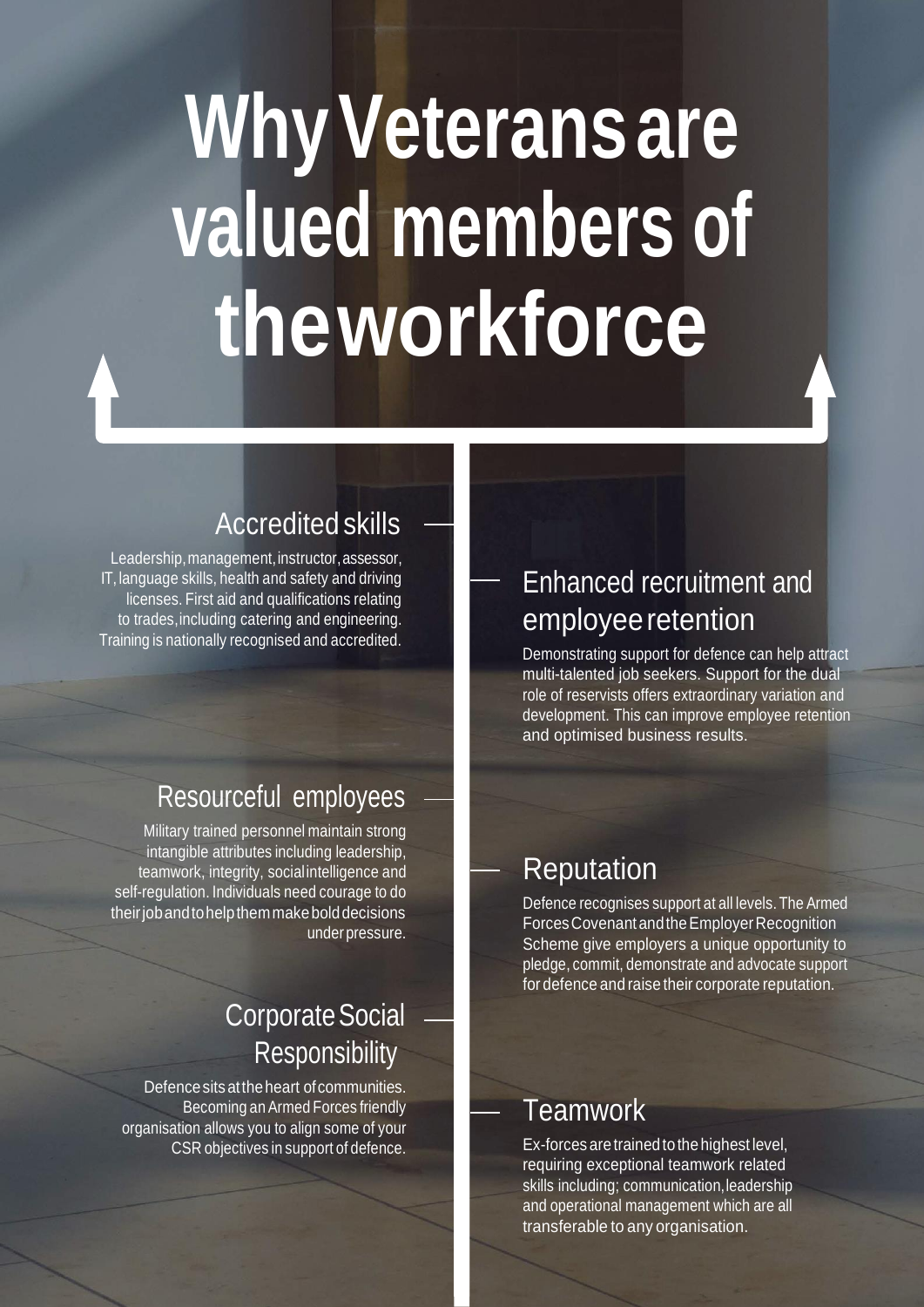## **WhyVeteransare valued members of theworkforce**

#### Accredited skills

Leadership, management, instructor, assessor, IT, language skills, health and safety and driving licenses. First aid and qualifications relating to trades,including catering and engineering. Training is nationally recognised and accredited.

#### Resourceful employees

Military trained personnel maintain strong intangible attributes including leadership, teamwork, integrity, socialintelligence and self-regulation. Individuals need courage to do theirjobandtohelpthemmakebolddecisions under pressure.

#### Corporate Social **Responsibility**

Defence sits at the heart of communities. Becoming anArmed Forces friendly organisation allows you to align some of your CSR objectives in support of defence.

#### Enhanced recruitment and employee retention

Demonstrating support for defence can help attract multi-talented job seekers. Support for the dual role of reservists offers extraordinary variation and development. This can improve employee retention and optimised business results.

#### Reputation

Defence recognises support at all levels.The Armed ForcesCovenantandtheEmployerRecognition Scheme give employers a unique opportunity to pledge, commit, demonstrate and advocate support for defence and raise their corporate reputation.

#### **Teamwork**

Ex-forces are trained to the highest level, requiring exceptional teamwork related skills including; communication, leadership and operational management which are all transferable to any organisation.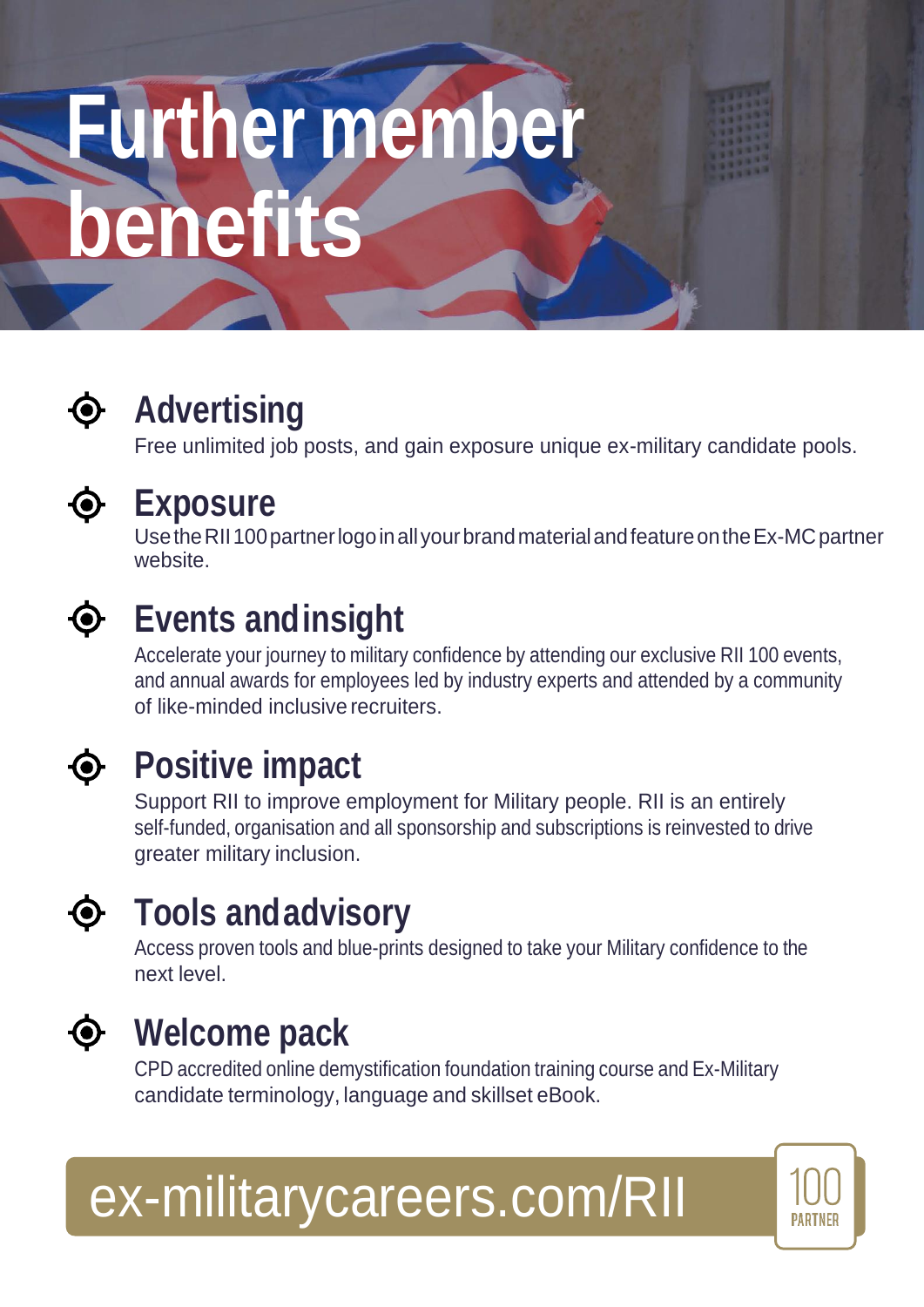# **Further member benefits**



### **Advertising**

Free unlimited job posts, and gain exposure unique ex-military candidate pools.



#### **Exposure**

Use the RII 100 partner logo in all your brand material and feature on the Ex-MC partner website.



### **Events andinsight**

Accelerate your journey to military confidence by attending our exclusive RII 100 events, and annual awards for employees led by industry experts and attended by a community of like-minded inclusive recruiters.



### **Positive impact**

Support RII to improve employment for Military people. RII is an entirely self-funded, organisation and all sponsorship and subscriptions is reinvested to drive greater military inclusion.



### **Tools andadvisory**

Access proven tools and blue-prints designed to take your Military confidence to the next level.



### **Welcome pack**

CPD accredited online demystification foundation training course and Ex-Military candidate terminology, language and skillset eBook.



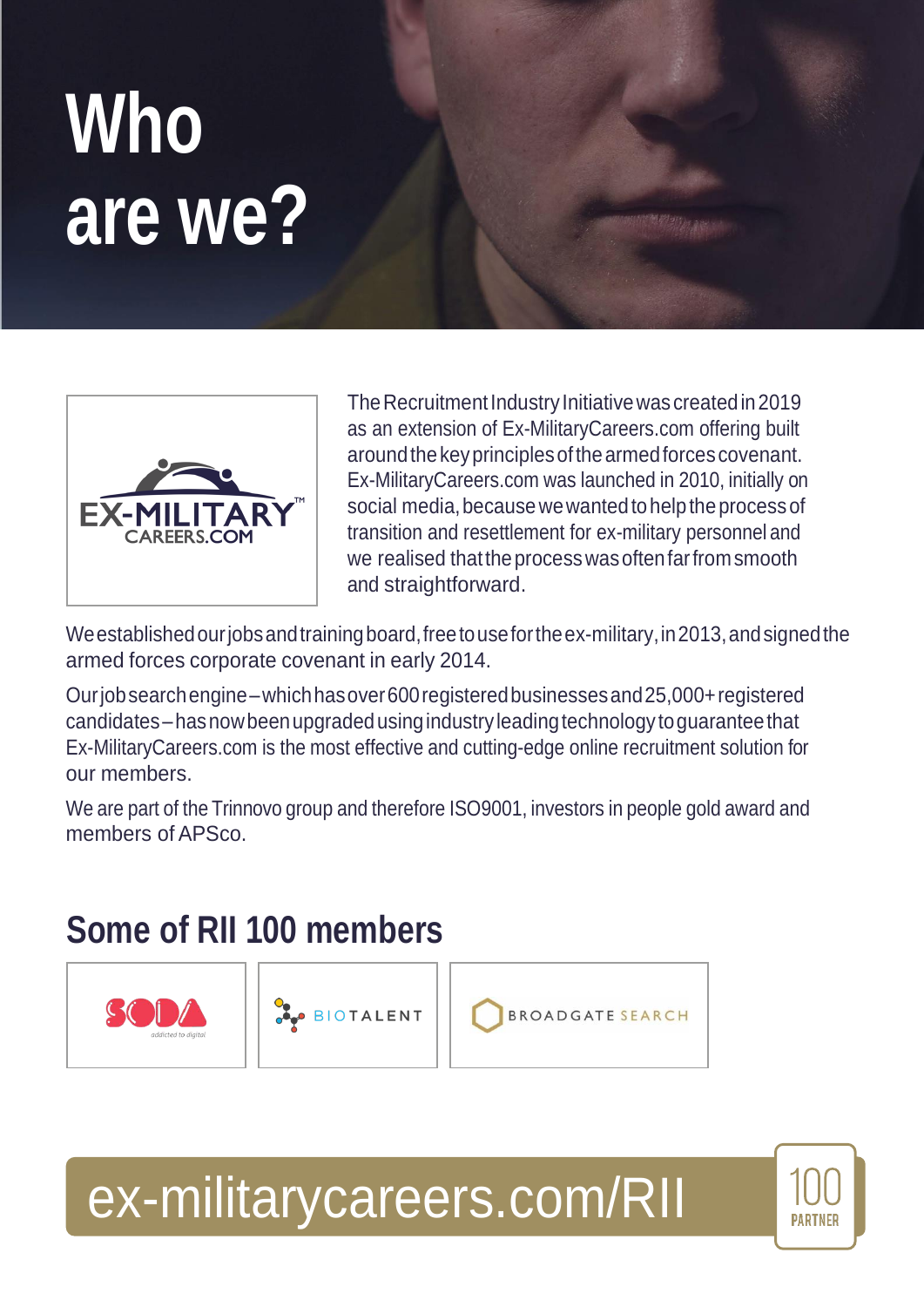## **Who are we?**



The Recruitment Industry Initiative was created in 2019 as an extension of Ex-MilitaryCareers.com offering built aroundthekeyprinciplesofthearmedforcescovenant. Ex-MilitaryCareers.com was launched in 2010, initially on social media, because we wanted to help the process of transition and resettlement for ex-military personnel and we realised thattheprocesswasoftenfarfromsmooth and straightforward.

Weestablishedourjobsandtrainingboard,freetousefortheex-military,in2013,andsignedthe armed forces corporate covenant in early 2014.

Ourjobsearchengine–whichhasover600registeredbusinessesand25,000+registered candidates–hasnowbeenupgradedusingindustry leadingtechnology toguaranteethat Ex-MilitaryCareers.com is the most effective and cutting-edge online recruitment solution for our members.

We are part of the Trinnovo group and therefore ISO9001, investors in people gold award and members of APSco.

### **Some of RII 100 members**







### [ex-militarycareers.com/RII](http://ex-militarycareers.com/rii)

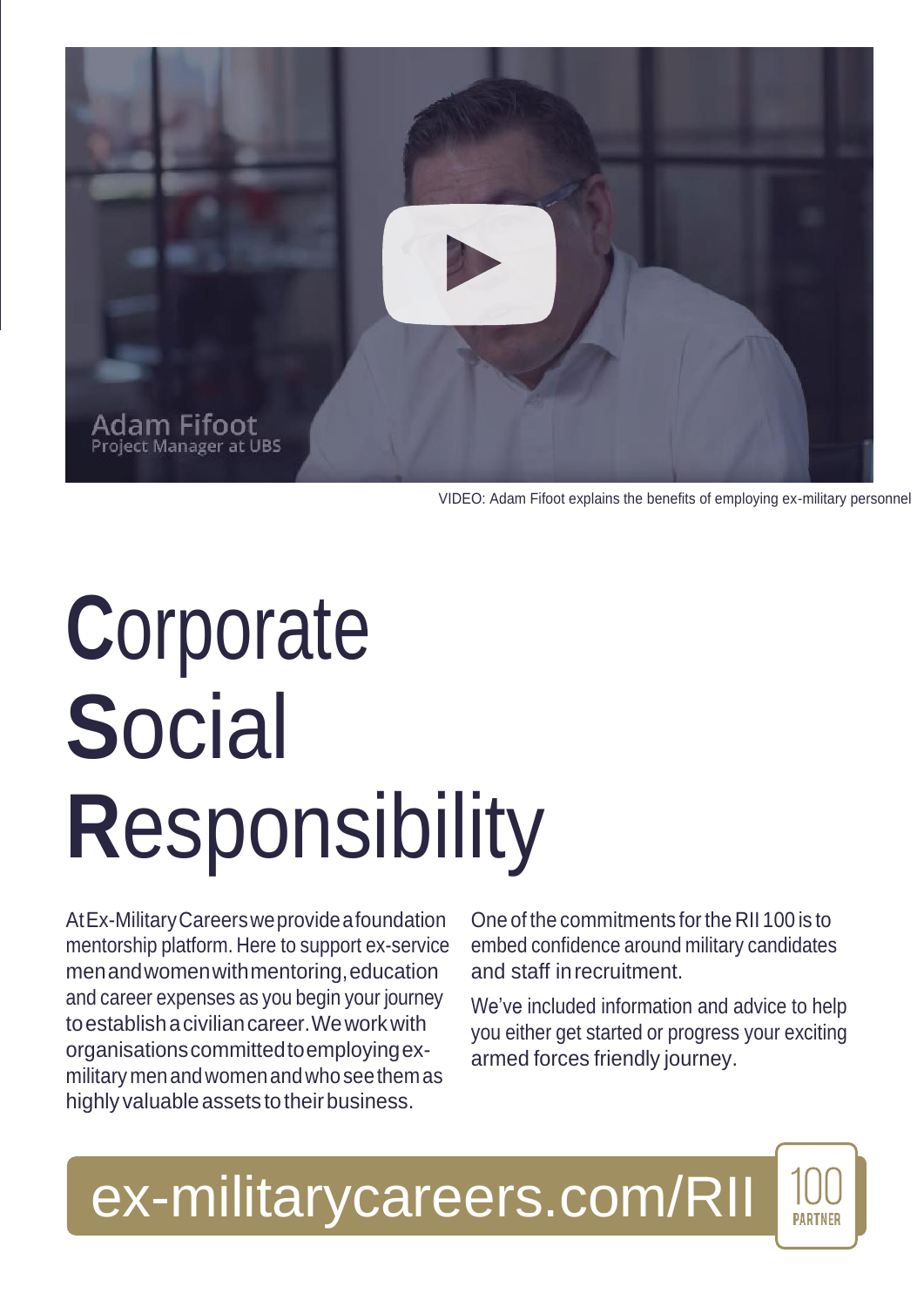

VIDEO: Adam Fifoot explains the benefits of employing ex-military personnel

## **C**orporate **S**ocial **R**esponsibility

AtEx-MilitaryCareersweprovideafoundation mentorship platform. Here to support ex-service menandwomenwithmentoring,education and career expenses as you begin your journey toestablishaciviliancareer.Weworkwith organisationscommittedtoemployingexmilitarymenandwomenandwhoseethemas highly valuable assets to their business.

One of the commitments forthe RII 100 is to embed confidence around military candidates and staff inrecruitment.

We've included information and advice to help you either get started or progress your exciting armed forces friendly journey.

**PARTNER** 

[ex-militarycareers.com/RII](http://ex-militarycareers.com/rii)